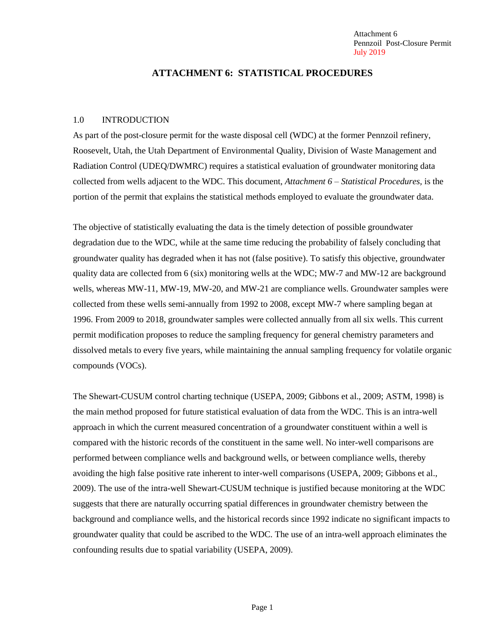Attachment 6 Pennzoil Post-Closure Permit July 2019

### **ATTACHMENT 6: STATISTICAL PROCEDURES**

### 1.0 INTRODUCTION

As part of the post-closure permit for the waste disposal cell (WDC) at the former Pennzoil refinery, Roosevelt, Utah, the Utah Department of Environmental Quality, Division of Waste Management and Radiation Control (UDEQ/DWMRC) requires a statistical evaluation of groundwater monitoring data collected from wells adjacent to the WDC. This document, *Attachment 6 – Statistical Procedures,* is the portion of the permit that explains the statistical methods employed to evaluate the groundwater data.

The objective of statistically evaluating the data is the timely detection of possible groundwater degradation due to the WDC, while at the same time reducing the probability of falsely concluding that groundwater quality has degraded when it has not (false positive). To satisfy this objective, groundwater quality data are collected from 6 (six) monitoring wells at the WDC; MW-7 and MW-12 are background wells, whereas MW-11, MW-19, MW-20, and MW-21 are compliance wells. Groundwater samples were collected from these wells semi-annually from 1992 to 2008, except MW-7 where sampling began at 1996. From 2009 to 2018, groundwater samples were collected annually from all six wells. This current permit modification proposes to reduce the sampling frequency for general chemistry parameters and dissolved metals to every five years, while maintaining the annual sampling frequency for volatile organic compounds (VOCs).

The Shewart-CUSUM control charting technique (USEPA, 2009; Gibbons et al., 2009; ASTM, 1998) is the main method proposed for future statistical evaluation of data from the WDC. This is an intra-well approach in which the current measured concentration of a groundwater constituent within a well is compared with the historic records of the constituent in the same well. No inter-well comparisons are performed between compliance wells and background wells, or between compliance wells, thereby avoiding the high false positive rate inherent to inter-well comparisons (USEPA, 2009; Gibbons et al., 2009). The use of the intra-well Shewart-CUSUM technique is justified because monitoring at the WDC suggests that there are naturally occurring spatial differences in groundwater chemistry between the background and compliance wells, and the historical records since 1992 indicate no significant impacts to groundwater quality that could be ascribed to the WDC. The use of an intra-well approach eliminates the confounding results due to spatial variability (USEPA, 2009).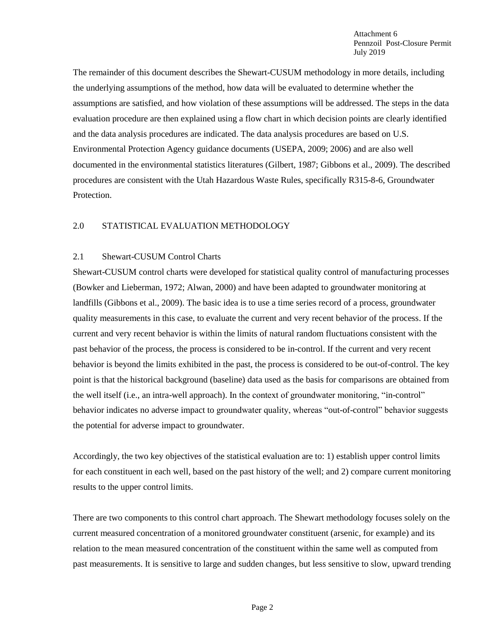The remainder of this document describes the Shewart-CUSUM methodology in more details, including the underlying assumptions of the method, how data will be evaluated to determine whether the assumptions are satisfied, and how violation of these assumptions will be addressed. The steps in the data evaluation procedure are then explained using a flow chart in which decision points are clearly identified and the data analysis procedures are indicated. The data analysis procedures are based on U.S. Environmental Protection Agency guidance documents (USEPA, 2009; 2006) and are also well documented in the environmental statistics literatures (Gilbert, 1987; Gibbons et al., 2009). The described procedures are consistent with the Utah Hazardous Waste Rules, specifically R315-8-6, Groundwater Protection.

## 2.0 STATISTICAL EVALUATION METHODOLOGY

### 2.1 Shewart-CUSUM Control Charts

Shewart-CUSUM control charts were developed for statistical quality control of manufacturing processes (Bowker and Lieberman, 1972; Alwan, 2000) and have been adapted to groundwater monitoring at landfills (Gibbons et al., 2009). The basic idea is to use a time series record of a process, groundwater quality measurements in this case, to evaluate the current and very recent behavior of the process. If the current and very recent behavior is within the limits of natural random fluctuations consistent with the past behavior of the process, the process is considered to be in-control. If the current and very recent behavior is beyond the limits exhibited in the past, the process is considered to be out-of-control. The key point is that the historical background (baseline) data used as the basis for comparisons are obtained from the well itself (i.e., an intra-well approach). In the context of groundwater monitoring, "in-control" behavior indicates no adverse impact to groundwater quality, whereas "out-of-control" behavior suggests the potential for adverse impact to groundwater.

Accordingly, the two key objectives of the statistical evaluation are to: 1) establish upper control limits for each constituent in each well, based on the past history of the well; and 2) compare current monitoring results to the upper control limits.

There are two components to this control chart approach. The Shewart methodology focuses solely on the current measured concentration of a monitored groundwater constituent (arsenic, for example) and its relation to the mean measured concentration of the constituent within the same well as computed from past measurements. It is sensitive to large and sudden changes, but less sensitive to slow, upward trending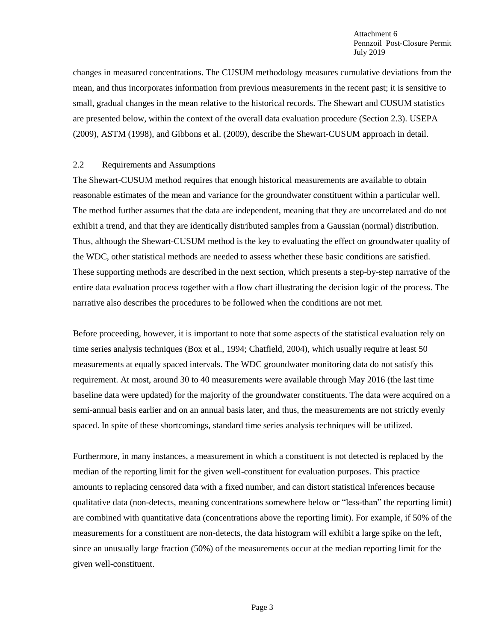changes in measured concentrations. The CUSUM methodology measures cumulative deviations from the mean, and thus incorporates information from previous measurements in the recent past; it is sensitive to small, gradual changes in the mean relative to the historical records. The Shewart and CUSUM statistics are presented below, within the context of the overall data evaluation procedure (Section 2.3). USEPA (2009), ASTM (1998), and Gibbons et al. (2009), describe the Shewart-CUSUM approach in detail.

### 2.2 Requirements and Assumptions

The Shewart-CUSUM method requires that enough historical measurements are available to obtain reasonable estimates of the mean and variance for the groundwater constituent within a particular well. The method further assumes that the data are independent, meaning that they are uncorrelated and do not exhibit a trend, and that they are identically distributed samples from a Gaussian (normal) distribution. Thus, although the Shewart-CUSUM method is the key to evaluating the effect on groundwater quality of the WDC, other statistical methods are needed to assess whether these basic conditions are satisfied. These supporting methods are described in the next section, which presents a step-by-step narrative of the entire data evaluation process together with a flow chart illustrating the decision logic of the process. The narrative also describes the procedures to be followed when the conditions are not met.

Before proceeding, however, it is important to note that some aspects of the statistical evaluation rely on time series analysis techniques (Box et al., 1994; Chatfield, 2004), which usually require at least 50 measurements at equally spaced intervals. The WDC groundwater monitoring data do not satisfy this requirement. At most, around 30 to 40 measurements were available through May 2016 (the last time baseline data were updated) for the majority of the groundwater constituents. The data were acquired on a semi-annual basis earlier and on an annual basis later, and thus, the measurements are not strictly evenly spaced. In spite of these shortcomings, standard time series analysis techniques will be utilized.

Furthermore, in many instances, a measurement in which a constituent is not detected is replaced by the median of the reporting limit for the given well-constituent for evaluation purposes. This practice amounts to replacing censored data with a fixed number, and can distort statistical inferences because qualitative data (non-detects, meaning concentrations somewhere below or "less-than" the reporting limit) are combined with quantitative data (concentrations above the reporting limit). For example, if 50% of the measurements for a constituent are non-detects, the data histogram will exhibit a large spike on the left, since an unusually large fraction (50%) of the measurements occur at the median reporting limit for the given well-constituent.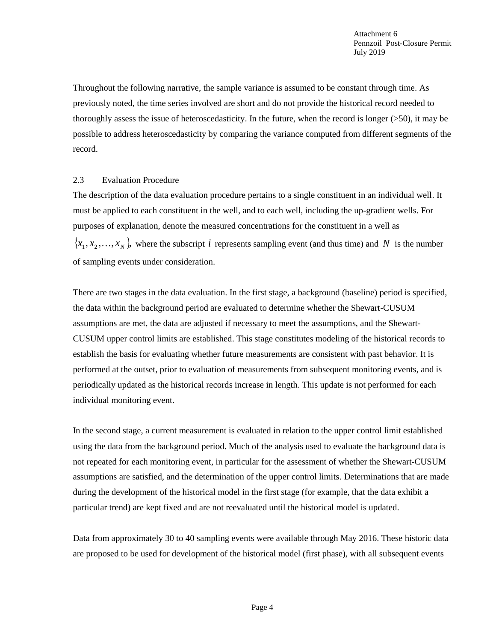Throughout the following narrative, the sample variance is assumed to be constant through time. As previously noted, the time series involved are short and do not provide the historical record needed to thoroughly assess the issue of heteroscedasticity. In the future, when the record is longer  $(50)$ , it may be possible to address heteroscedasticity by comparing the variance computed from different segments of the record.

### 2.3 Evaluation Procedure

The description of the data evaluation procedure pertains to a single constituent in an individual well. It must be applied to each constituent in the well, and to each well, including the up-gradient wells. For purposes of explanation, denote the measured concentrations for the constituent in a well as  $\{x_1, x_2, \ldots, x_N\}$ , where the subscript *i* represents sampling event (and thus time) and N is the number of sampling events under consideration.

There are two stages in the data evaluation. In the first stage, a background (baseline) period is specified, the data within the background period are evaluated to determine whether the Shewart-CUSUM assumptions are met, the data are adjusted if necessary to meet the assumptions, and the Shewart-CUSUM upper control limits are established. This stage constitutes modeling of the historical records to establish the basis for evaluating whether future measurements are consistent with past behavior. It is performed at the outset, prior to evaluation of measurements from subsequent monitoring events, and is periodically updated as the historical records increase in length. This update is not performed for each individual monitoring event.

In the second stage, a current measurement is evaluated in relation to the upper control limit established using the data from the background period. Much of the analysis used to evaluate the background data is not repeated for each monitoring event, in particular for the assessment of whether the Shewart-CUSUM assumptions are satisfied, and the determination of the upper control limits. Determinations that are made during the development of the historical model in the first stage (for example, that the data exhibit a particular trend) are kept fixed and are not reevaluated until the historical model is updated.

Data from approximately 30 to 40 sampling events were available through May 2016. These historic data are proposed to be used for development of the historical model (first phase), with all subsequent events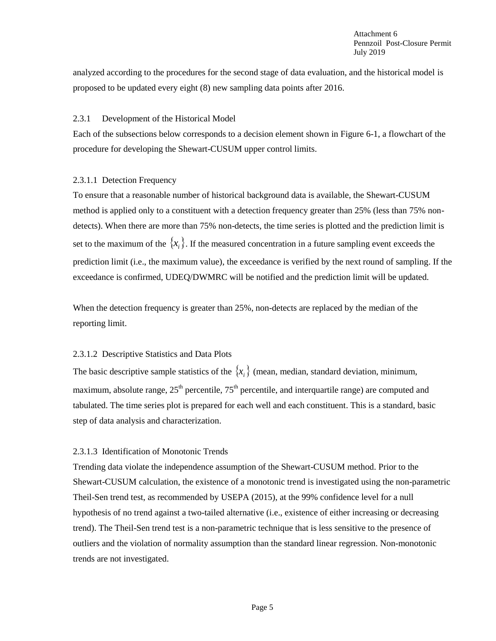analyzed according to the procedures for the second stage of data evaluation, and the historical model is proposed to be updated every eight (8) new sampling data points after 2016.

### 2.3.1 Development of the Historical Model

Each of the subsections below corresponds to a decision element shown in Figure 6-1, a flowchart of the procedure for developing the Shewart-CUSUM upper control limits.

# 2.3.1.1 Detection Frequency

To ensure that a reasonable number of historical background data is available, the Shewart-CUSUM method is applied only to a constituent with a detection frequency greater than 25% (less than 75% nondetects). When there are more than 75% non-detects, the time series is plotted and the prediction limit is set to the maximum of the  $\{x_i\}$ . If the measured concentration in a future sampling event exceeds the prediction limit (i.e., the maximum value), the exceedance is verified by the next round of sampling. If the exceedance is confirmed, UDEQ/DWMRC will be notified and the prediction limit will be updated.

When the detection frequency is greater than 25%, non-detects are replaced by the median of the reporting limit.

# 2.3.1.2 Descriptive Statistics and Data Plots

The basic descriptive sample statistics of the  $\{x_i\}$  (mean, median, standard deviation, minimum, maximum, absolute range,  $25<sup>th</sup>$  percentile,  $75<sup>th</sup>$  percentile, and interquartile range) are computed and tabulated. The time series plot is prepared for each well and each constituent. This is a standard, basic step of data analysis and characterization.

# 2.3.1.3 Identification of Monotonic Trends

Trending data violate the independence assumption of the Shewart-CUSUM method. Prior to the Shewart-CUSUM calculation, the existence of a monotonic trend is investigated using the non-parametric Theil-Sen trend test, as recommended by USEPA (2015), at the 99% confidence level for a null hypothesis of no trend against a two-tailed alternative (i.e., existence of either increasing or decreasing trend). The Theil-Sen trend test is a non-parametric technique that is less sensitive to the presence of outliers and the violation of normality assumption than the standard linear regression. Non-monotonic trends are not investigated.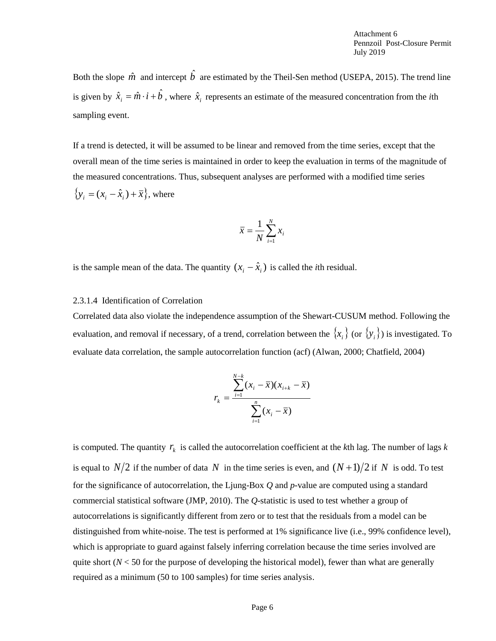Attachment 6 Pennzoil Post-Closure Permit July 2019

Both the slope  $\hat{m}$  and intercept  $\hat{b}$  are estimated by the Theil-Sen method (USEPA, 2015). The trend line is given by  $\hat{x}_i = \hat{m} \cdot i + \hat{b}$ , where  $\hat{x}_i$  represents an estimate of the measured concentration from the *i*th sampling event.

If a trend is detected, it will be assumed to be linear and removed from the time series, except that the overall mean of the time series is maintained in order to keep the evaluation in terms of the magnitude of the measured concentrations. Thus, subsequent analyses are performed with a modified time series  $\{y_i = (x_i - \hat{x}_i) + \overline{x}\}\text{, where}$ 

$$
\overline{x} = \frac{1}{N} \sum_{i=1}^{N} x_i
$$

is the sample mean of the data. The quantity  $(x_i - \hat{x}_i)$  is called the *i*th residual.

#### 2.3.1.4 Identification of Correlation

Correlated data also violate the independence assumption of the Shewart-CUSUM method. Following the evaluation, and removal if necessary, of a trend, correlation between the  $\{x_i\}$  (or  $\{y_i\}$ ) is investigated. To evaluate data correlation, the sample autocorrelation function (acf) (Alwan, 2000; Chatfield, 2004)

$$
r_{k} = \frac{\sum_{i=1}^{N-k} (x_{i} - \bar{x})(x_{i+k} - \bar{x})}{\sum_{i=1}^{n} (x_{i} - \bar{x})}
$$

is computed. The quantity  $r_k$  is called the autocorrelation coefficient at the *k*th lag. The number of lags  $k$ is equal to  $N/2$  if the number of data N in the time series is even, and  $(N+1)/2$  if N is odd. To test for the significance of autocorrelation, the Ljung-Box *Q* and *p*-value are computed using a standard commercial statistical software (JMP, 2010). The *Q*-statistic is used to test whether a group of autocorrelations is significantly different from zero or to test that the residuals from a model can be distinguished from white-noise. The test is performed at 1% significance live (i.e., 99% confidence level), which is appropriate to guard against falsely inferring correlation because the time series involved are quite short ( $N < 50$  for the purpose of developing the historical model), fewer than what are generally required as a minimum (50 to 100 samples) for time series analysis.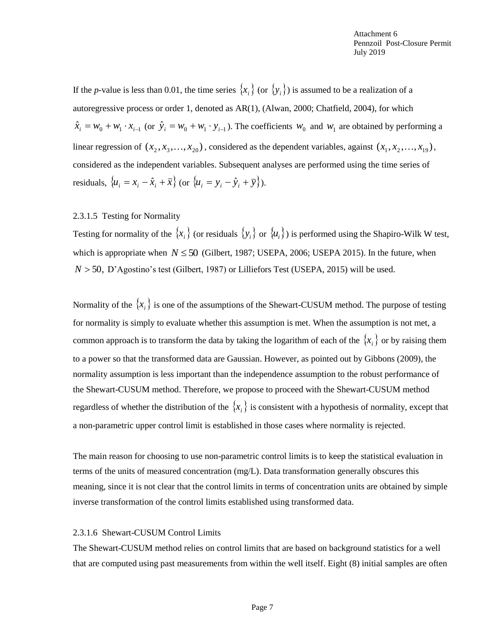If the *p*-value is less than 0.01, the time series  $\{x_i\}$  (or  $\{y_i\}$ ) is assumed to be a realization of a autoregressive process or order 1, denoted as AR(1), (Alwan, 2000; Chatfield, 2004), for which  $\hat{x}_i = w_0 + w_1 \cdot x_{i-1}$  (or  $\hat{y}_i = w_0 + w_1 \cdot y_{i-1}$ ). The coefficients  $w_0$  and  $w_1$  are obtained by performing a linear regression of  $(x_1, x_3, ..., x_{20})$ , considered as the dependent variables, against  $(x_1, x_2, ..., x_{19})$ , considered as the independent variables. Subsequent analyses are performed using the time series of residuals,  $\{u_i = x_i - \hat{x}_i + \overline{x}\}$  (or  $\{u_i = y_i - \hat{y}_i + \overline{y}\}$ ).

### 2.3.1.5 Testing for Normality

Testing for normality of the  $\{x_i\}$  (or residuals  $\{y_i\}$  or  $\{u_i\}$ ) is performed using the Shapiro-Wilk W test, which is appropriate when  $N \le 50$  (Gilbert, 1987; USEPA, 2006; USEPA 2015). In the future, when  $N > 50$ , D'Agostino's test (Gilbert, 1987) or Lilliefors Test (USEPA, 2015) will be used.

Normality of the  $\{x_i\}$  is one of the assumptions of the Shewart-CUSUM method. The purpose of testing for normality is simply to evaluate whether this assumption is met. When the assumption is not met, a common approach is to transform the data by taking the logarithm of each of the  $\{x_i\}$  or by raising them to a power so that the transformed data are Gaussian. However, as pointed out by Gibbons (2009), the normality assumption is less important than the independence assumption to the robust performance of the Shewart-CUSUM method. Therefore, we propose to proceed with the Shewart-CUSUM method regardless of whether the distribution of the  $\{x_i\}$  is consistent with a hypothesis of normality, except that a non-parametric upper control limit is established in those cases where normality is rejected.

The main reason for choosing to use non-parametric control limits is to keep the statistical evaluation in terms of the units of measured concentration (mg/L). Data transformation generally obscures this meaning, since it is not clear that the control limits in terms of concentration units are obtained by simple inverse transformation of the control limits established using transformed data.

#### 2.3.1.6 Shewart-CUSUM Control Limits

The Shewart-CUSUM method relies on control limits that are based on background statistics for a well that are computed using past measurements from within the well itself. Eight (8) initial samples are often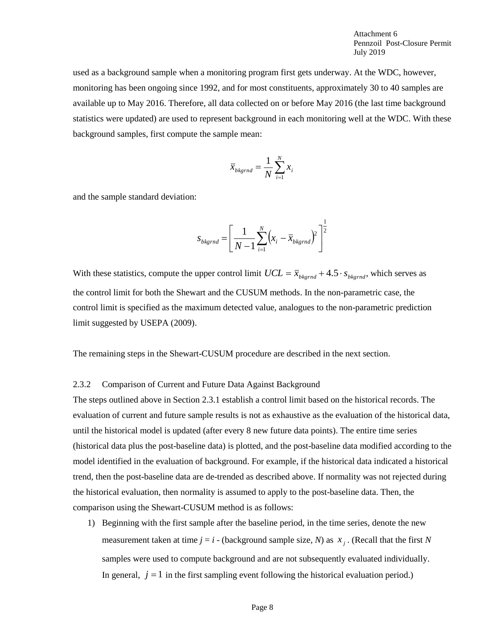used as a background sample when a monitoring program first gets underway. At the WDC, however, monitoring has been ongoing since 1992, and for most constituents, approximately 30 to 40 samples are available up to May 2016. Therefore, all data collected on or before May 2016 (the last time background statistics were updated) are used to represent background in each monitoring well at the WDC. With these background samples, first compute the sample mean:

$$
\bar{x}_{bkgrnd} = \frac{1}{N} \sum_{i=1}^{N} x_i
$$

and the sample standard deviation:

$$
s_{bkgrnd} = \left[\frac{1}{N-1} \sum_{i=1}^{N} (x_i - \overline{x}_{bkgrnd})^2\right]^{\frac{1}{2}}
$$

With these statistics, compute the upper control limit  $UCL = \bar{x}_{bkgrnd} + 4.5 \cdot s_{bkgrnd}$ , which serves as the control limit for both the Shewart and the CUSUM methods. In the non-parametric case, the control limit is specified as the maximum detected value, analogues to the non-parametric prediction limit suggested by USEPA (2009).

The remaining steps in the Shewart-CUSUM procedure are described in the next section.

#### 2.3.2 Comparison of Current and Future Data Against Background

The steps outlined above in Section 2.3.1 establish a control limit based on the historical records. The evaluation of current and future sample results is not as exhaustive as the evaluation of the historical data, until the historical model is updated (after every 8 new future data points). The entire time series (historical data plus the post-baseline data) is plotted, and the post-baseline data modified according to the model identified in the evaluation of background. For example, if the historical data indicated a historical trend, then the post-baseline data are de-trended as described above. If normality was not rejected during the historical evaluation, then normality is assumed to apply to the post-baseline data. Then, the comparison using the Shewart-CUSUM method is as follows:

1) Beginning with the first sample after the baseline period, in the time series, denote the new measurement taken at time  $j = i$  - (background sample size, *N*) as  $x_j$ . (Recall that the first *N* samples were used to compute background and are not subsequently evaluated individually. In general,  $j = 1$  in the first sampling event following the historical evaluation period.)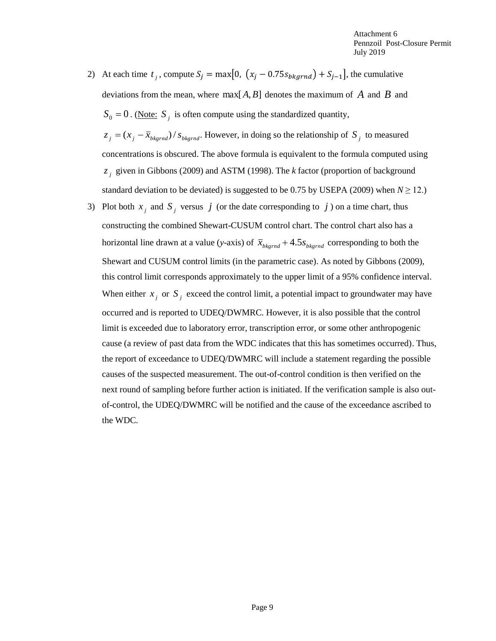2) At each time  $t_j$ , compute  $S_j = \max[0, (x_j - 0.75s_{bkgrnd}) + S_{j-1}]$ , the cumulative deviations from the mean, where  $\max[A, B]$  denotes the maximum of A and B and  $S_0 = 0$ . (Note:  $S_j$  is often compute using the standardized quantity,

 $z_j = (x_j - \bar{x}_{bkgrnd})/s_{bkgrnd}$ . However, in doing so the relationship of  $S_j$  to measured concentrations is obscured. The above formula is equivalent to the formula computed using *j z* given in Gibbons (2009) and ASTM (1998). The *k* factor (proportion of background standard deviation to be deviated) is suggested to be 0.75 by USEPA (2009) when  $N \ge 12$ .)

3) Plot both  $x_j$  and  $S_j$  versus  $j$  (or the date corresponding to  $j$ ) on a time chart, thus constructing the combined Shewart-CUSUM control chart. The control chart also has a horizontal line drawn at a value (*y*-axis) of  $\bar{x}_{bkgrnd} + 4.5s_{bkgrnd}$  corresponding to both the Shewart and CUSUM control limits (in the parametric case). As noted by Gibbons (2009), this control limit corresponds approximately to the upper limit of a 95% confidence interval. When either  $x_j$  or  $S_j$  exceed the control limit, a potential impact to groundwater may have occurred and is reported to UDEQ/DWMRC. However, it is also possible that the control limit is exceeded due to laboratory error, transcription error, or some other anthropogenic cause (a review of past data from the WDC indicates that this has sometimes occurred). Thus, the report of exceedance to UDEQ/DWMRC will include a statement regarding the possible causes of the suspected measurement. The out-of-control condition is then verified on the next round of sampling before further action is initiated. If the verification sample is also outof-control, the UDEQ/DWMRC will be notified and the cause of the exceedance ascribed to the WDC.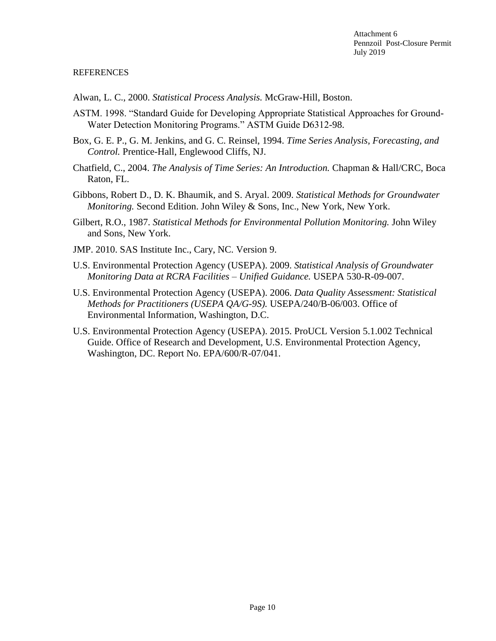### **REFERENCES**

Alwan, L. C., 2000. *Statistical Process Analysis.* McGraw-Hill, Boston.

- ASTM. 1998. "Standard Guide for Developing Appropriate Statistical Approaches for Ground-Water Detection Monitoring Programs." ASTM Guide D6312-98.
- Box, G. E. P., G. M. Jenkins, and G. C. Reinsel, 1994. *Time Series Analysis, Forecasting, and Control.* Prentice-Hall, Englewood Cliffs, NJ.
- Chatfield, C., 2004. *The Analysis of Time Series: An Introduction.* Chapman & Hall/CRC, Boca Raton, FL.
- Gibbons, Robert D., D. K. Bhaumik, and S. Aryal. 2009. *Statistical Methods for Groundwater Monitoring.* Second Edition. John Wiley & Sons, Inc., New York, New York.
- Gilbert, R.O., 1987. *Statistical Methods for Environmental Pollution Monitoring.* John Wiley and Sons, New York.
- JMP. 2010. SAS Institute Inc., Cary, NC. Version 9.
- U.S. Environmental Protection Agency (USEPA). 2009. *Statistical Analysis of Groundwater Monitoring Data at RCRA Facilities – Unified Guidance.* USEPA 530-R-09-007.
- U.S. Environmental Protection Agency (USEPA). 2006. *Data Quality Assessment: Statistical Methods for Practitioners (USEPA QA/G-9S).* USEPA/240/B-06/003. Office of Environmental Information, Washington, D.C.
- U.S. Environmental Protection Agency (USEPA). 2015. ProUCL Version 5.1.002 Technical Guide. Office of Research and Development, U.S. Environmental Protection Agency, Washington, DC. Report No. EPA/600/R-07/041.